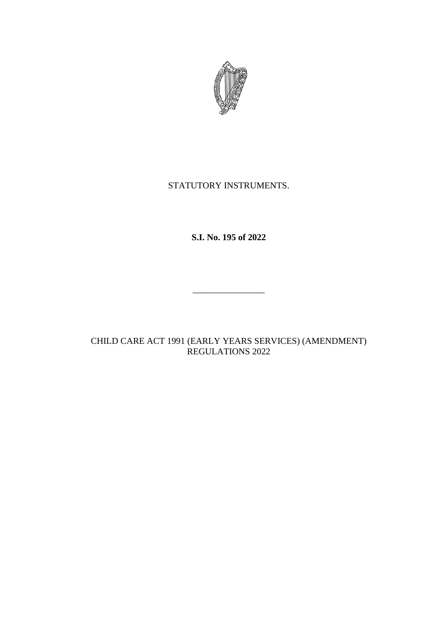

# STATUTORY INSTRUMENTS.

**S.I. No. 195 of 2022**

 $\overline{\phantom{a}}$  , where the contract of the contract of the contract of the contract of the contract of the contract of the contract of the contract of the contract of the contract of the contract of the contract of the contr

CHILD CARE ACT 1991 (EARLY YEARS SERVICES) (AMENDMENT) REGULATIONS 2022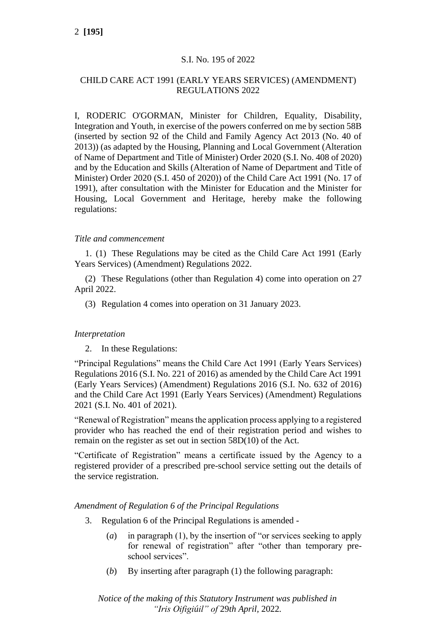# S.I. No. 195 of 2022

# CHILD CARE ACT 1991 (EARLY YEARS SERVICES) (AMENDMENT) REGULATIONS 2022

I, RODERIC O'GORMAN, Minister for Children, Equality, Disability, Integration and Youth, in exercise of the powers conferred on me by section 58B (inserted by section 92 of the Child and Family Agency Act 2013 (No. 40 of 2013)) (as adapted by the Housing, Planning and Local Government (Alteration of Name of Department and Title of Minister) Order 2020 (S.I. No. 408 of 2020) and by the Education and Skills (Alteration of Name of Department and Title of Minister) Order 2020 (S.I. 450 of 2020)) of the Child Care Act 1991 (No. 17 of 1991), after consultation with the Minister for Education and the Minister for Housing, Local Government and Heritage, hereby make the following regulations:

# *Title and commencement*

1. (1) These Regulations may be cited as the Child Care Act 1991 (Early Years Services) (Amendment) Regulations 2022.

(2) These Regulations (other than Regulation 4) come into operation on 27 April 2022.

(3) Regulation 4 comes into operation on 31 January 2023.

## *Interpretation*

2. In these Regulations:

"Principal Regulations" means the Child Care Act 1991 (Early Years Services) Regulations 2016 (S.I. No. 221 of 2016) as amended by the Child Care Act 1991 (Early Years Services) (Amendment) Regulations 2016 (S.I. No. 632 of 2016) and the Child Care Act 1991 (Early Years Services) (Amendment) Regulations 2021 (S.I. No. 401 of 2021).

"Renewal of Registration" means the application process applying to a registered provider who has reached the end of their registration period and wishes to remain on the register as set out in section 58D(10) of the Act.

"Certificate of Registration" means a certificate issued by the Agency to a registered provider of a prescribed pre-school service setting out the details of the service registration.

## *Amendment of Regulation 6 of the Principal Regulations*

- 3. Regulation 6 of the Principal Regulations is amended
	- (*a*) in paragraph (1), by the insertion of "or services seeking to apply for renewal of registration" after "other than temporary preschool services".
	- (*b*) By inserting after paragraph (1) the following paragraph:

*Notice of the making of this Statutory Instrument was published in "Iris Oifigiúil" of* 29*th April,* 2022*.*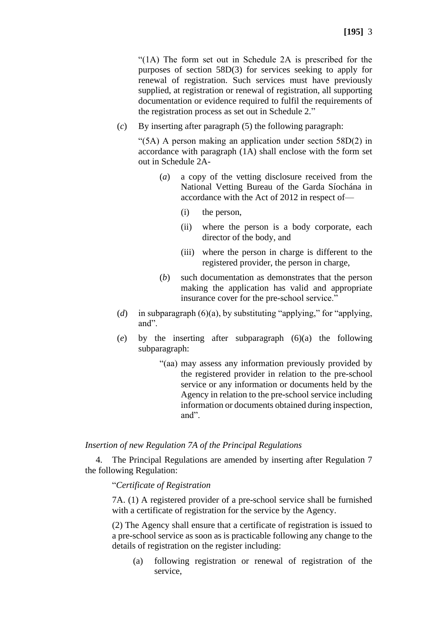"(1A) The form set out in Schedule 2A is prescribed for the purposes of section 58D(3) for services seeking to apply for renewal of registration. Such services must have previously supplied, at registration or renewal of registration, all supporting documentation or evidence required to fulfil the requirements of the registration process as set out in Schedule 2*.*"

(*c*) By inserting after paragraph (5) the following paragraph:

"(5A) A person making an application under section 58D(2) in accordance with paragraph (1A) shall enclose with the form set out in Schedule 2A-

- (*a*) a copy of the vetting disclosure received from the National Vetting Bureau of the Garda Síochána in accordance with the Act of 2012 in respect of—
	- (i) the person,
	- (ii) where the person is a body corporate, each director of the body, and
	- (iii) where the person in charge is different to the registered provider, the person in charge,
- (*b*) such documentation as demonstrates that the person making the application has valid and appropriate insurance cover for the pre-school service."
- (*d*) in subparagraph (6)(a), by substituting "applying," for "applying, and".
- (*e*) by the inserting after subparagraph (6)(a) the following subparagraph:
	- "(aa) may assess any information previously provided by the registered provider in relation to the pre-school service or any information or documents held by the Agency in relation to the pre-school service including information or documents obtained during inspection, and".

## *Insertion of new Regulation 7A of the Principal Regulations*

4. The Principal Regulations are amended by inserting after Regulation 7 the following Regulation:

## "*Certificate of Registration*

7A. (1) A registered provider of a pre-school service shall be furnished with a certificate of registration for the service by the Agency.

(2) The Agency shall ensure that a certificate of registration is issued to a pre-school service as soon as is practicable following any change to the details of registration on the register including:

(a) following registration or renewal of registration of the service,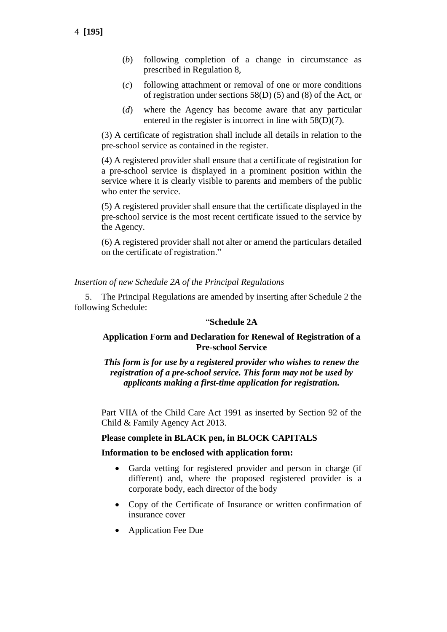- (*b*) following completion of a change in circumstance as prescribed in Regulation 8,
- (*c*) following attachment or removal of one or more conditions of registration under sections 58(D) (5) and (8) of the Act, or
- (*d*) where the Agency has become aware that any particular entered in the register is incorrect in line with 58(D)(7).

(3) A certificate of registration shall include all details in relation to the pre-school service as contained in the register.

(4) A registered provider shall ensure that a certificate of registration for a pre-school service is displayed in a prominent position within the service where it is clearly visible to parents and members of the public who enter the service.

(5) A registered provider shall ensure that the certificate displayed in the pre-school service is the most recent certificate issued to the service by the Agency.

(6) A registered provider shall not alter or amend the particulars detailed on the certificate of registration."

# *Insertion of new Schedule 2A of the Principal Regulations*

5. The Principal Regulations are amended by inserting after Schedule 2 the following Schedule:

## "**Schedule 2A**

# **Application Form and Declaration for Renewal of Registration of a Pre-school Service**

*This form is for use by a registered provider who wishes to renew the registration of a pre-school service. This form may not be used by applicants making a first-time application for registration.*

Part VIIA of the Child Care Act 1991 as inserted by Section 92 of the Child & Family Agency Act 2013.

## **Please complete in BLACK pen, in BLOCK CAPITALS**

## **Information to be enclosed with application form:**

- Garda vetting for registered provider and person in charge (if different) and, where the proposed registered provider is a corporate body, each director of the body
- Copy of the Certificate of Insurance or written confirmation of insurance cover
- Application Fee Due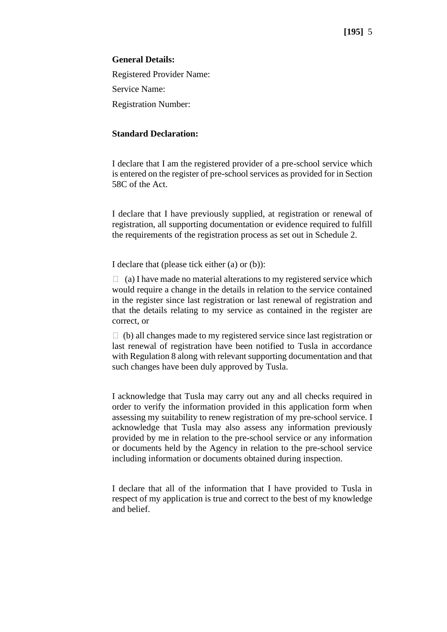## **General Details:**

Registered Provider Name: Service Name: Registration Number:

# **Standard Declaration:**

I declare that I am the registered provider of a pre-school service which is entered on the register of pre-school services as provided for in Section 58C of the Act.

I declare that I have previously supplied, at registration or renewal of registration, all supporting documentation or evidence required to fulfill the requirements of the registration process as set out in Schedule 2.

I declare that (please tick either (a) or (b)):

 $\Box$  (a) I have made no material alterations to my registered service which would require a change in the details in relation to the service contained in the register since last registration or last renewal of registration and that the details relating to my service as contained in the register are correct, or

 $\Box$  (b) all changes made to my registered service since last registration or last renewal of registration have been notified to Tusla in accordance with Regulation 8 along with relevant supporting documentation and that such changes have been duly approved by Tusla.

I acknowledge that Tusla may carry out any and all checks required in order to verify the information provided in this application form when assessing my suitability to renew registration of my pre-school service. I acknowledge that Tusla may also assess any information previously provided by me in relation to the pre-school service or any information or documents held by the Agency in relation to the pre-school service including information or documents obtained during inspection.

I declare that all of the information that I have provided to Tusla in respect of my application is true and correct to the best of my knowledge and belief.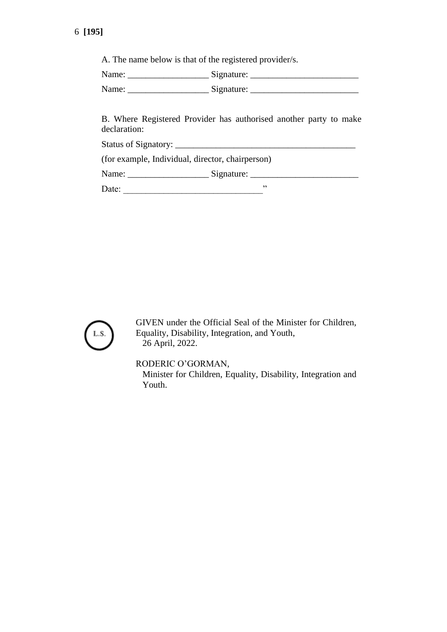A. The name below is that of the registered provider/s.

Name: \_\_\_\_\_\_\_\_\_\_\_\_\_\_\_\_\_\_ Signature: \_\_\_\_\_\_\_\_\_\_\_\_\_\_\_\_\_\_\_\_\_\_\_\_

Name: \_\_\_\_\_\_\_\_\_\_\_\_\_\_\_\_\_\_ Signature: \_\_\_\_\_\_\_\_\_\_\_\_\_\_\_\_\_\_\_\_\_\_\_\_

B. Where Registered Provider has authorised another party to make declaration:

Status of Signatory: \_\_\_\_\_\_\_\_\_\_\_\_\_\_\_\_\_\_\_\_\_\_\_\_\_\_\_\_\_\_\_\_\_\_\_\_\_\_\_\_

(for example, Individual, director, chairperson)

Name: \_\_\_\_\_\_\_\_\_\_\_\_\_\_\_\_\_\_ Signature: \_\_\_\_\_\_\_\_\_\_\_\_\_\_\_\_\_\_\_\_\_\_\_\_

Date: \_\_\_\_\_\_\_\_\_\_\_\_\_\_\_\_\_\_\_\_\_\_\_\_\_\_\_\_\_\_\_"



GIVEN under the Official Seal of the Minister for Children, Equality, Disability, Integration, and Youth, 26 April, 2022.

RODERIC O'GORMAN,

Minister for Children, Equality, Disability, Integration and Youth.